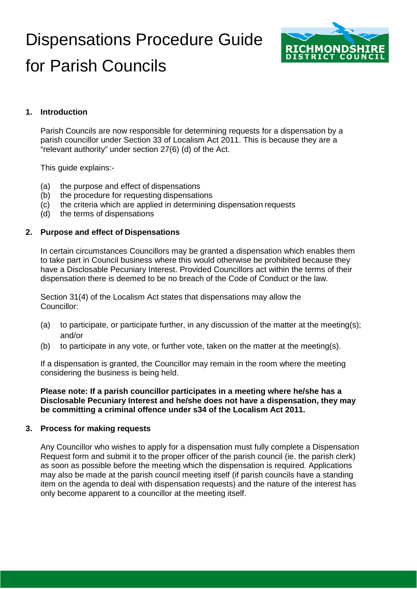# Dispensations Procedure Guide for Parish Councils



# **1. Introduction**

Parish Councils are now responsible for determining requests for a dispensation by a parish councillor under Section 33 of Localism Act 2011. This is because they are a "relevant authority" under section 27(6) (d) of the Act.

This guide explains:-

- (a) the purpose and effect of dispensations
- (b) the procedure for requesting dispensations
- (c) the criteria which are applied in determining dispensation requests
- (d) the terms of dispensations

### **2. Purpose and effect of Dispensations**

In certain circumstances Councillors may be granted a dispensation which enables them to take part in Council business where this would otherwise be prohibited because they have a Disclosable Pecuniary Interest. Provided Councillors act within the terms of their dispensation there is deemed to be no breach of the Code of Conduct or the law.

Section 31(4) of the Localism Act states that dispensations may allow the Councillor:

- (a) to participate, or participate further, in any discussion of the matter at the meeting(s); and/or
- (b) to participate in any vote, or further vote, taken on the matter at the meeting(s).

If a dispensation is granted, the Councillor may remain in the room where the meeting considering the business is being held.

**Please note: If a parish councillor participates in a meeting where he/she has a Disclosable Pecuniary Interest and he/she does not have a dispensation, they may be committing a criminal offence under s34 of the Localism Act 2011.**

#### **3. Process for making requests**

Any Councillor who wishes to apply for a dispensation must fully complete a Dispensation Request form and submit it to the proper officer of the parish council (ie. the parish clerk) as soon as possible before the meeting which the dispensation is required. Applications may also be made at the parish council meeting itself (if parish councils have a standing item on the agenda to deal with dispensation requests) and the nature of the interest has only become apparent to a councillor at the meeting itself.